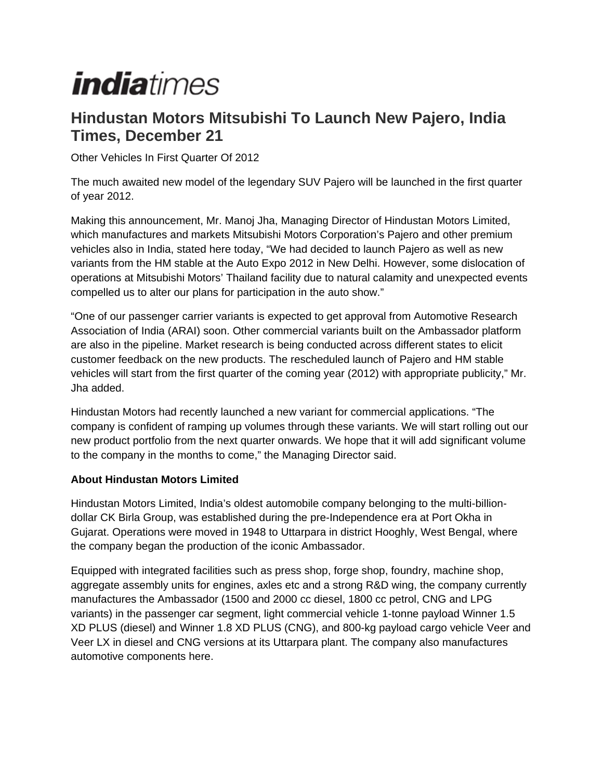## *indiatimes*

## **Hindustan Motors Mitsubishi To Launch New Pajero, India Times, December 21**

Other Vehicles In First Quarter Of 2012

The much awaited new model of the legendary SUV Pajero will be launched in the first quarter of year 2012.

Making this announcement, Mr. Manoj Jha, Managing Director of Hindustan Motors Limited, which manufactures and markets Mitsubishi Motors Corporation's Pajero and other premium vehicles also in India, stated here today, "We had decided to launch Pajero as well as new variants from the HM stable at the Auto Expo 2012 in New Delhi. However, some dislocation of operations at Mitsubishi Motors' Thailand facility due to natural calamity and unexpected events compelled us to alter our plans for participation in the auto show."

"One of our passenger carrier variants is expected to get approval from Automotive Research Association of India (ARAI) soon. Other commercial variants built on the Ambassador platform are also in the pipeline. Market research is being conducted across different states to elicit customer feedback on the new products. The rescheduled launch of Pajero and HM stable vehicles will start from the first quarter of the coming year (2012) with appropriate publicity," Mr. Jha added.

Hindustan Motors had recently launched a new variant for commercial applications. "The company is confident of ramping up volumes through these variants. We will start rolling out our new product portfolio from the next quarter onwards. We hope that it will add significant volume to the company in the months to come," the Managing Director said.

## **About Hindustan Motors Limited**

Hindustan Motors Limited, India's oldest automobile company belonging to the multi-billiondollar CK Birla Group, was established during the pre-Independence era at Port Okha in Gujarat. Operations were moved in 1948 to Uttarpara in district Hooghly, West Bengal, where the company began the production of the iconic Ambassador.

Equipped with integrated facilities such as press shop, forge shop, foundry, machine shop, aggregate assembly units for engines, axles etc and a strong R&D wing, the company currently manufactures the Ambassador (1500 and 2000 cc diesel, 1800 cc petrol, CNG and LPG variants) in the passenger car segment, light commercial vehicle 1-tonne payload Winner 1.5 XD PLUS (diesel) and Winner 1.8 XD PLUS (CNG), and 800-kg payload cargo vehicle Veer and Veer LX in diesel and CNG versions at its Uttarpara plant. The company also manufactures automotive components here.